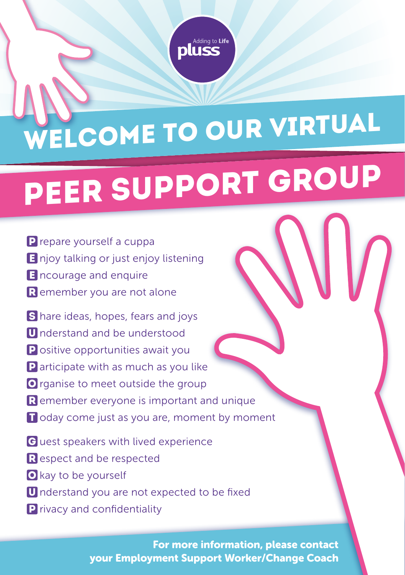

## WELCOME TO OUR VIRTUAL

## PEER SUPPORT GROUP

- **P** repare yourself a cuppa
- **E** njoy talking or just enjoy listening
- **E** ncourage and enquire
- R emember you are not alone
- S hare ideas, hopes, fears and joys
- **U** nderstand and be understood
- **P** ositive opportunities await you
- **P** articipate with as much as you like
- O rganise to meet outside the group
- $R$  emember everyone is important and unique
- **T** oday come just as you are, moment by moment
- G uest speakers with lived experience
- **R** espect and be respected
- **O** kay to be yourself
- **U** nderstand you are not expected to be fixed
- **P** rivacy and confidentiality

For more information, please contact your Employment Support Worker/Change Coach